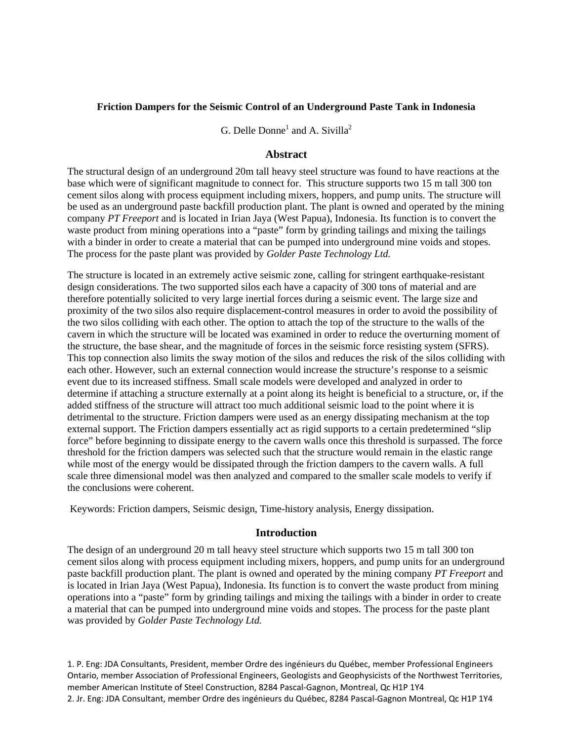## **Friction Dampers for the Seismic Control of an Underground Paste Tank in Indonesia**

G. Delle Donne<sup>1</sup> and A. Sivilla<sup>2</sup>

## **Abstract**

The structural design of an underground 20m tall heavy steel structure was found to have reactions at the base which were of significant magnitude to connect for. This structure supports two 15 m tall 300 ton cement silos along with process equipment including mixers, hoppers, and pump units. The structure will be used as an underground paste backfill production plant. The plant is owned and operated by the mining company *PT Freeport* and is located in Irian Jaya (West Papua), Indonesia. Its function is to convert the waste product from mining operations into a "paste" form by grinding tailings and mixing the tailings with a binder in order to create a material that can be pumped into underground mine voids and stopes. The process for the paste plant was provided by *Golder Paste Technology Ltd.*

The structure is located in an extremely active seismic zone, calling for stringent earthquake-resistant design considerations. The two supported silos each have a capacity of 300 tons of material and are therefore potentially solicited to very large inertial forces during a seismic event. The large size and proximity of the two silos also require displacement-control measures in order to avoid the possibility of the two silos colliding with each other. The option to attach the top of the structure to the walls of the cavern in which the structure will be located was examined in order to reduce the overturning moment of the structure, the base shear, and the magnitude of forces in the seismic force resisting system (SFRS). This top connection also limits the sway motion of the silos and reduces the risk of the silos colliding with each other. However, such an external connection would increase the structure's response to a seismic event due to its increased stiffness. Small scale models were developed and analyzed in order to determine if attaching a structure externally at a point along its height is beneficial to a structure, or, if the added stiffness of the structure will attract too much additional seismic load to the point where it is detrimental to the structure. Friction dampers were used as an energy dissipating mechanism at the top external support. The Friction dampers essentially act as rigid supports to a certain predetermined "slip force" before beginning to dissipate energy to the cavern walls once this threshold is surpassed. The force threshold for the friction dampers was selected such that the structure would remain in the elastic range while most of the energy would be dissipated through the friction dampers to the cavern walls. A full scale three dimensional model was then analyzed and compared to the smaller scale models to verify if the conclusions were coherent.

Keywords: Friction dampers, Seismic design, Time-history analysis, Energy dissipation.

## **Introduction**

The design of an underground 20 m tall heavy steel structure which supports two 15 m tall 300 ton cement silos along with process equipment including mixers, hoppers, and pump units for an underground paste backfill production plant. The plant is owned and operated by the mining company *PT Freeport* and is located in Irian Jaya (West Papua), Indonesia. Its function is to convert the waste product from mining operations into a "paste" form by grinding tailings and mixing the tailings with a binder in order to create a material that can be pumped into underground mine voids and stopes. The process for the paste plant was provided by *Golder Paste Technology Ltd.*

1. P. Eng: JDA Consultants, President, member Ordre des ingénieurs du Québec, member Professional Engineers Ontario, member Association of Professional Engineers, Geologists and Geophysicists of the Northwest Territories, member American Institute of Steel Construction, 8284 Pascal‐Gagnon, Montreal, Qc H1P 1Y4 2. Jr. Eng: JDA Consultant, member Ordre des ingénieurs du Québec, 8284 Pascal‐Gagnon Montreal, Qc H1P 1Y4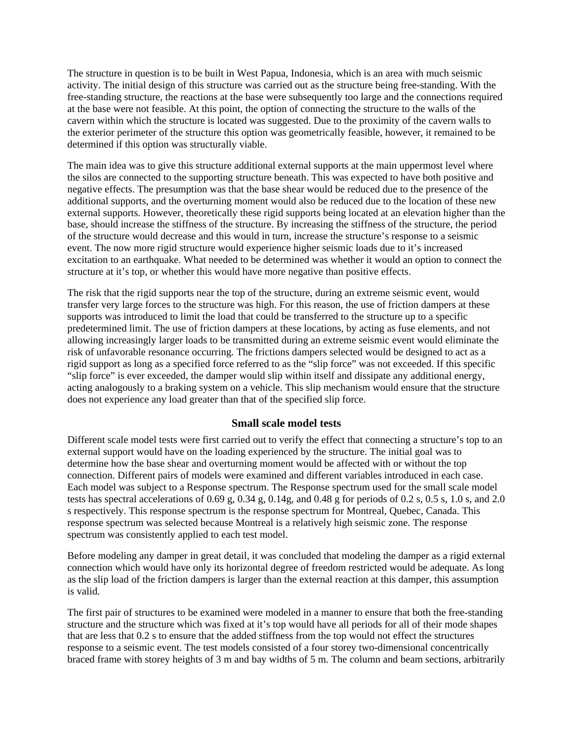The structure in question is to be built in West Papua, Indonesia, which is an area with much seismic activity. The initial design of this structure was carried out as the structure being free-standing. With the free-standing structure, the reactions at the base were subsequently too large and the connections required at the base were not feasible. At this point, the option of connecting the structure to the walls of the cavern within which the structure is located was suggested. Due to the proximity of the cavern walls to the exterior perimeter of the structure this option was geometrically feasible, however, it remained to be determined if this option was structurally viable.

The main idea was to give this structure additional external supports at the main uppermost level where the silos are connected to the supporting structure beneath. This was expected to have both positive and negative effects. The presumption was that the base shear would be reduced due to the presence of the additional supports, and the overturning moment would also be reduced due to the location of these new external supports. However, theoretically these rigid supports being located at an elevation higher than the base, should increase the stiffness of the structure. By increasing the stiffness of the structure, the period of the structure would decrease and this would in turn, increase the structure's response to a seismic event. The now more rigid structure would experience higher seismic loads due to it's increased excitation to an earthquake. What needed to be determined was whether it would an option to connect the structure at it's top, or whether this would have more negative than positive effects.

The risk that the rigid supports near the top of the structure, during an extreme seismic event, would transfer very large forces to the structure was high. For this reason, the use of friction dampers at these supports was introduced to limit the load that could be transferred to the structure up to a specific predetermined limit. The use of friction dampers at these locations, by acting as fuse elements, and not allowing increasingly larger loads to be transmitted during an extreme seismic event would eliminate the risk of unfavorable resonance occurring. The frictions dampers selected would be designed to act as a rigid support as long as a specified force referred to as the "slip force" was not exceeded. If this specific "slip force" is ever exceeded, the damper would slip within itself and dissipate any additional energy, acting analogously to a braking system on a vehicle. This slip mechanism would ensure that the structure does not experience any load greater than that of the specified slip force.

### **Small scale model tests**

Different scale model tests were first carried out to verify the effect that connecting a structure's top to an external support would have on the loading experienced by the structure. The initial goal was to determine how the base shear and overturning moment would be affected with or without the top connection. Different pairs of models were examined and different variables introduced in each case. Each model was subject to a Response spectrum. The Response spectrum used for the small scale model tests has spectral accelerations of  $0.69$  g,  $0.34$  g,  $0.14$ g, and  $0.48$  g for periods of  $0.2$  s,  $0.5$  s,  $1.0$  s, and  $2.0$ s respectively. This response spectrum is the response spectrum for Montreal, Quebec, Canada. This response spectrum was selected because Montreal is a relatively high seismic zone. The response spectrum was consistently applied to each test model.

Before modeling any damper in great detail, it was concluded that modeling the damper as a rigid external connection which would have only its horizontal degree of freedom restricted would be adequate. As long as the slip load of the friction dampers is larger than the external reaction at this damper, this assumption is valid.

The first pair of structures to be examined were modeled in a manner to ensure that both the free-standing structure and the structure which was fixed at it's top would have all periods for all of their mode shapes that are less that 0.2 s to ensure that the added stiffness from the top would not effect the structures response to a seismic event. The test models consisted of a four storey two-dimensional concentrically braced frame with storey heights of 3 m and bay widths of 5 m. The column and beam sections, arbitrarily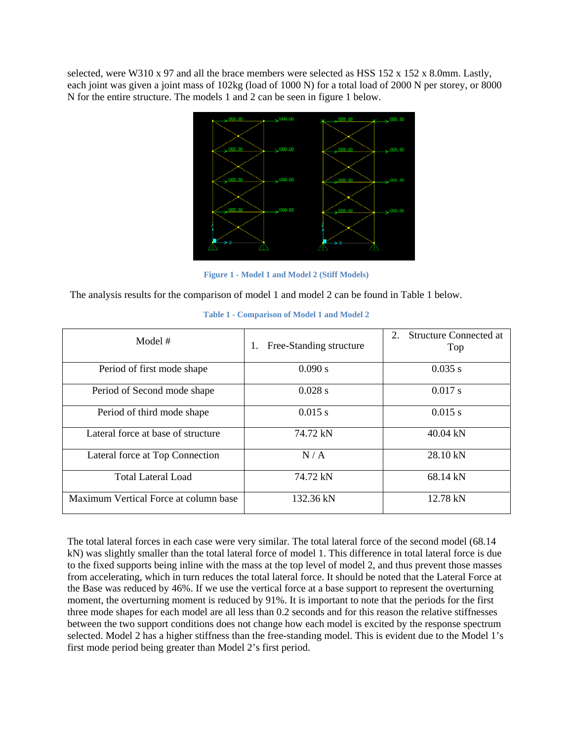selected, were W310 x 97 and all the brace members were selected as HSS 152 x 152 x 8.0mm. Lastly, each joint was given a joint mass of 102kg (load of 1000 N) for a total load of 2000 N per storey, or 8000 N for the entire structure. The models 1 and 2 can be seen in figure 1 below.



**Figure 1 - Model 1 and Model 2 (Stiff Models)** 

The analysis results for the comparison of model 1 and model 2 can be found in Table 1 below.

| Model $#$                             | Free-Standing structure | 2.<br><b>Structure Connected at</b><br>Top |  |  |
|---------------------------------------|-------------------------|--------------------------------------------|--|--|
| Period of first mode shape            | 0.090 s                 | 0.035 s                                    |  |  |
| Period of Second mode shape           | 0.028 s                 | 0.017 s                                    |  |  |
| Period of third mode shape            | 0.015 s                 | 0.015 s                                    |  |  |
| Lateral force at base of structure    | 74.72 kN                | 40.04 kN                                   |  |  |
| Lateral force at Top Connection       | N/A                     | 28.10 kN                                   |  |  |
| <b>Total Lateral Load</b>             | 74.72 kN                | 68.14 kN                                   |  |  |
| Maximum Vertical Force at column base | 132.36 kN               | 12.78 kN                                   |  |  |

#### **Table 1 - Comparison of Model 1 and Model 2**

The total lateral forces in each case were very similar. The total lateral force of the second model (68.14 kN) was slightly smaller than the total lateral force of model 1. This difference in total lateral force is due to the fixed supports being inline with the mass at the top level of model 2, and thus prevent those masses from accelerating, which in turn reduces the total lateral force. It should be noted that the Lateral Force at the Base was reduced by 46%. If we use the vertical force at a base support to represent the overturning moment, the overturning moment is reduced by 91%. It is important to note that the periods for the first three mode shapes for each model are all less than 0.2 seconds and for this reason the relative stiffnesses between the two support conditions does not change how each model is excited by the response spectrum selected. Model 2 has a higher stiffness than the free-standing model. This is evident due to the Model 1's first mode period being greater than Model 2's first period.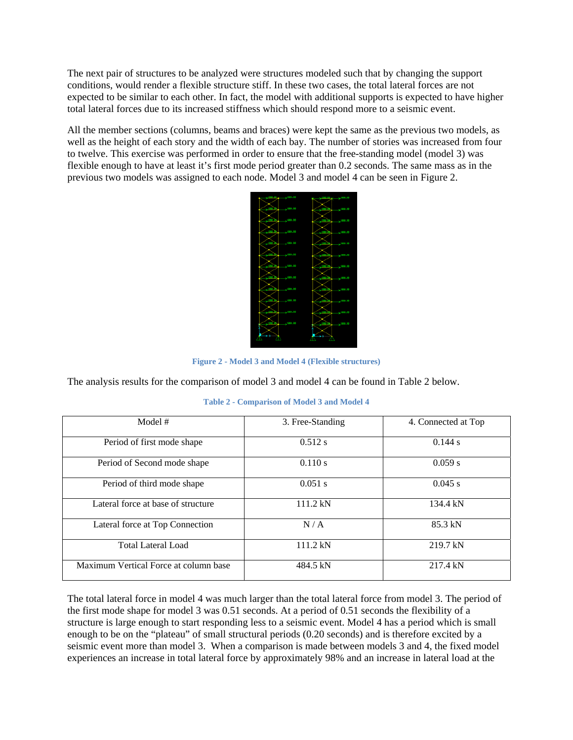The next pair of structures to be analyzed were structures modeled such that by changing the support conditions, would render a flexible structure stiff. In these two cases, the total lateral forces are not expected to be similar to each other. In fact, the model with additional supports is expected to have higher total lateral forces due to its increased stiffness which should respond more to a seismic event.

All the member sections (columns, beams and braces) were kept the same as the previous two models, as well as the height of each story and the width of each bay. The number of stories was increased from four to twelve. This exercise was performed in order to ensure that the free-standing model (model 3) was flexible enough to have at least it's first mode period greater than 0.2 seconds. The same mass as in the previous two models was assigned to each node. Model 3 and model 4 can be seen in Figure 2.



**Figure 2 - Model 3 and Model 4 (Flexible structures)** 

The analysis results for the comparison of model 3 and model 4 can be found in Table 2 below.

|  | <b>Table 2 - Comparison of Model 3 and Model 4</b> |
|--|----------------------------------------------------|
|  |                                                    |

| Model #                               | 3. Free-Standing | 4. Connected at Top |
|---------------------------------------|------------------|---------------------|
| Period of first mode shape            | 0.512 s          | 0.144 s             |
| Period of Second mode shape           | 0.110 s          | 0.059 s             |
| Period of third mode shape            | $0.051$ s        | $0.045$ s           |
| Lateral force at base of structure    | 111.2 kN         | 134.4 kN            |
| Lateral force at Top Connection       | N/A              | 85.3 kN             |
| <b>Total Lateral Load</b>             | 111.2 kN         | 219.7 kN            |
| Maximum Vertical Force at column base | 484.5 kN         | 217.4 kN            |

The total lateral force in model 4 was much larger than the total lateral force from model 3. The period of the first mode shape for model 3 was 0.51 seconds. At a period of 0.51 seconds the flexibility of a structure is large enough to start responding less to a seismic event. Model 4 has a period which is small enough to be on the "plateau" of small structural periods (0.20 seconds) and is therefore excited by a seismic event more than model 3. When a comparison is made between models 3 and 4, the fixed model experiences an increase in total lateral force by approximately 98% and an increase in lateral load at the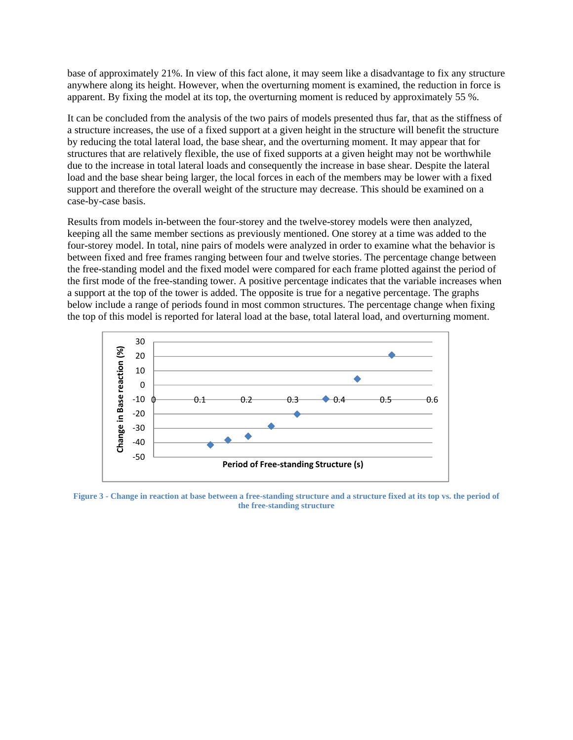base of approximately 21%. In view of this fact alone, it may seem like a disadvantage to fix any structure anywhere along its height. However, when the overturning moment is examined, the reduction in force is apparent. By fixing the model at its top, the overturning moment is reduced by approximately 55 %.

It can be concluded from the analysis of the two pairs of models presented thus far, that as the stiffness of a structure increases, the use of a fixed support at a given height in the structure will benefit the structure by reducing the total lateral load, the base shear, and the overturning moment. It may appear that for structures that are relatively flexible, the use of fixed supports at a given height may not be worthwhile due to the increase in total lateral loads and consequently the increase in base shear. Despite the lateral load and the base shear being larger, the local forces in each of the members may be lower with a fixed support and therefore the overall weight of the structure may decrease. This should be examined on a case-by-case basis.

Results from models in-between the four-storey and the twelve-storey models were then analyzed, keeping all the same member sections as previously mentioned. One storey at a time was added to the four-storey model. In total, nine pairs of models were analyzed in order to examine what the behavior is between fixed and free frames ranging between four and twelve stories. The percentage change between the free-standing model and the fixed model were compared for each frame plotted against the period of the first mode of the free-standing tower. A positive percentage indicates that the variable increases when a support at the top of the tower is added. The opposite is true for a negative percentage. The graphs below include a range of periods found in most common structures. The percentage change when fixing the top of this model is reported for lateral load at the base, total lateral load, and overturning moment.



**Figure 3 - Change in reaction at base between a free-standing structure and a structure fixed at its top vs. the period of the free-standing structure**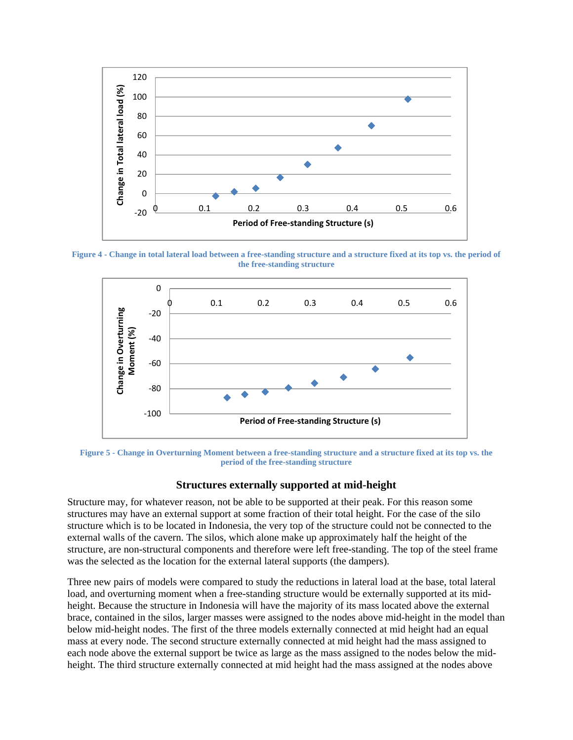

**Figure 4 - Change in total lateral load between a free-standing structure and a structure fixed at its top vs. the period of the free-standing structure** 



**Figure 5 - Change in Overturning Moment between a free-standing structure and a structure fixed at its top vs. the period of the free-standing structure** 

### **Structures externally supported at mid-height**

Structure may, for whatever reason, not be able to be supported at their peak. For this reason some structures may have an external support at some fraction of their total height. For the case of the silo structure which is to be located in Indonesia, the very top of the structure could not be connected to the external walls of the cavern. The silos, which alone make up approximately half the height of the structure, are non-structural components and therefore were left free-standing. The top of the steel frame was the selected as the location for the external lateral supports (the dampers).

Three new pairs of models were compared to study the reductions in lateral load at the base, total lateral load, and overturning moment when a free-standing structure would be externally supported at its midheight. Because the structure in Indonesia will have the majority of its mass located above the external brace, contained in the silos, larger masses were assigned to the nodes above mid-height in the model than below mid-height nodes. The first of the three models externally connected at mid height had an equal mass at every node. The second structure externally connected at mid height had the mass assigned to each node above the external support be twice as large as the mass assigned to the nodes below the midheight. The third structure externally connected at mid height had the mass assigned at the nodes above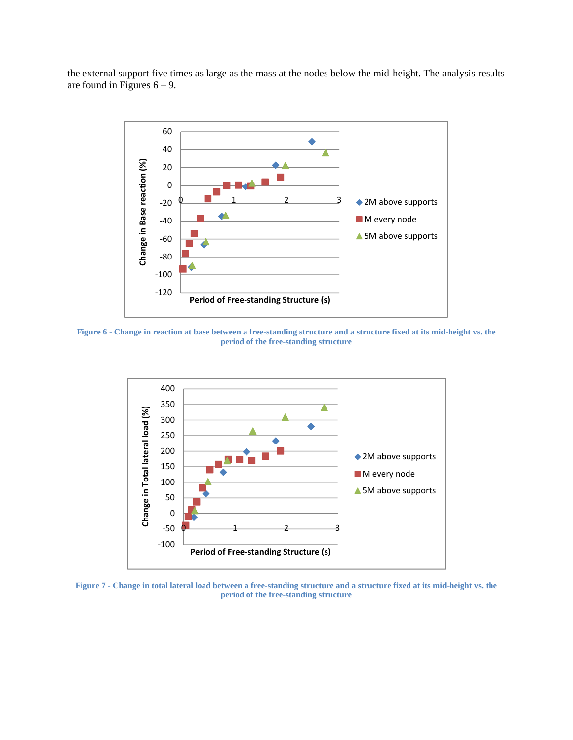the external support five times as large as the mass at the nodes below the mid-height. The analysis results are found in Figures  $6 - 9$ .



**Figure 6 - Change in reaction at base between a free-standing structure and a structure fixed at its mid-height vs. the period of the free-standing structure** 



**Figure 7 - Change in total lateral load between a free-standing structure and a structure fixed at its mid-height vs. the period of the free-standing structure**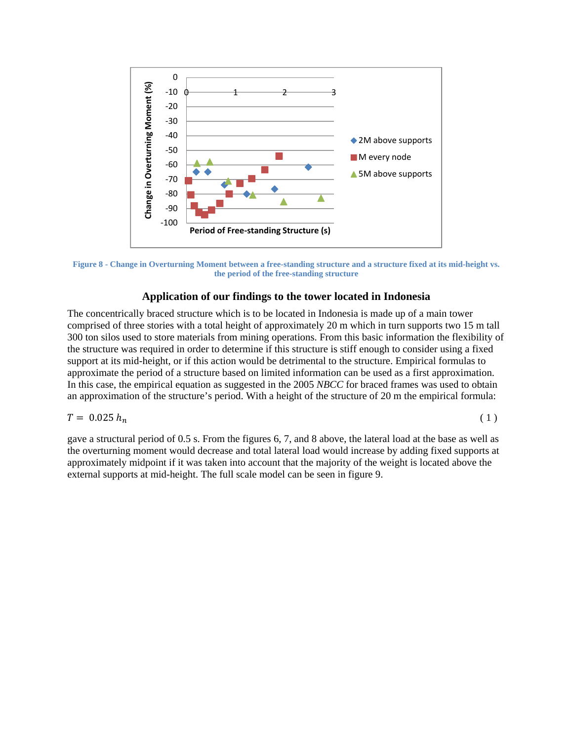

**Figure 8 - Change in Overturning Moment between a free-standing structure and a structure fixed at its mid-height vs. the period of the free-standing structure** 

## **Application of our findings to the tower located in Indonesia**

The concentrically braced structure which is to be located in Indonesia is made up of a main tower comprised of three stories with a total height of approximately 20 m which in turn supports two 15 m tall 300 ton silos used to store materials from mining operations. From this basic information the flexibility of the structure was required in order to determine if this structure is stiff enough to consider using a fixed support at its mid-height, or if this action would be detrimental to the structure. Empirical formulas to approximate the period of a structure based on limited information can be used as a first approximation. In this case, the empirical equation as suggested in the 2005 *NBCC* for braced frames was used to obtain an approximation of the structure's period. With a height of the structure of 20 m the empirical formula:

$$
T = 0.025 h_n \tag{1}
$$

gave a structural period of 0.5 s. From the figures 6, 7, and 8 above, the lateral load at the base as well as the overturning moment would decrease and total lateral load would increase by adding fixed supports at approximately midpoint if it was taken into account that the majority of the weight is located above the external supports at mid-height. The full scale model can be seen in figure 9.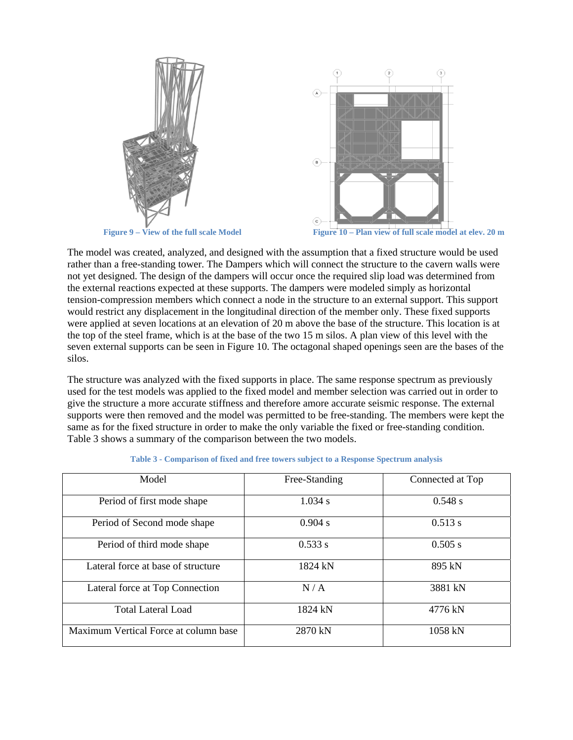



Figure 9 – View of the full scale Model Figure 10 – Plan view of full scale model at elev. 20 m

The model was created, analyzed, and designed with the assumption that a fixed structure would be used rather than a free-standing tower. The Dampers which will connect the structure to the cavern walls were not yet designed. The design of the dampers will occur once the required slip load was determined from the external reactions expected at these supports. The dampers were modeled simply as horizontal tension-compression members which connect a node in the structure to an external support. This support would restrict any displacement in the longitudinal direction of the member only. These fixed supports were applied at seven locations at an elevation of 20 m above the base of the structure. This location is at the top of the steel frame, which is at the base of the two 15 m silos. A plan view of this level with the seven external supports can be seen in Figure 10. The octagonal shaped openings seen are the bases of the silos.

The structure was analyzed with the fixed supports in place. The same response spectrum as previously used for the test models was applied to the fixed model and member selection was carried out in order to give the structure a more accurate stiffness and therefore amore accurate seismic response. The external supports were then removed and the model was permitted to be free-standing. The members were kept the same as for the fixed structure in order to make the only variable the fixed or free-standing condition. Table 3 shows a summary of the comparison between the two models.

| Model                                 | Free-Standing | Connected at Top |
|---------------------------------------|---------------|------------------|
| Period of first mode shape            | 1.034 s       | 0.548 s          |
| Period of Second mode shape           | 0.904 s       | 0.513 s          |
| Period of third mode shape            | 0.533 s       | 0.505 s          |
| Lateral force at base of structure    | 1824 kN       | 895 kN           |
| Lateral force at Top Connection       | N/A           | 3881 kN          |
| <b>Total Lateral Load</b>             | 1824 kN       | 4776 kN          |
| Maximum Vertical Force at column base | 2870 kN       | 1058 kN          |

|  |  |  |  |  | Table 3 - Comparison of fixed and free towers subject to a Response Spectrum analysis |  |
|--|--|--|--|--|---------------------------------------------------------------------------------------|--|
|  |  |  |  |  |                                                                                       |  |